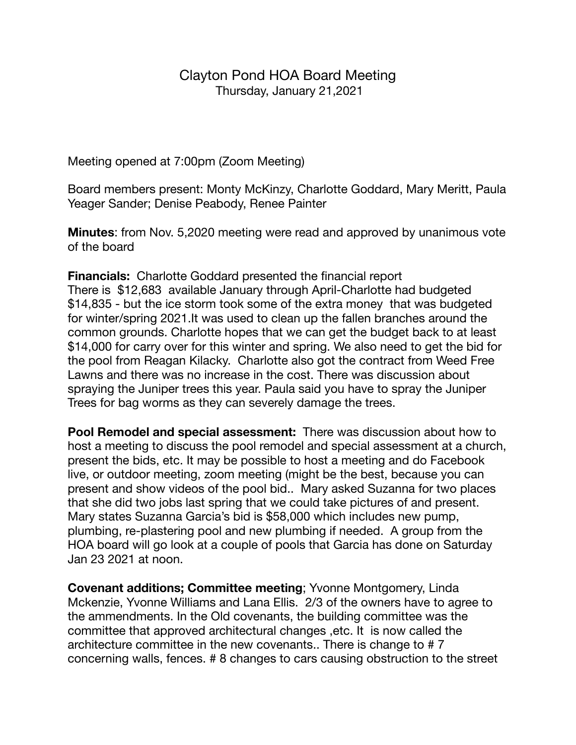## Clayton Pond HOA Board Meeting Thursday, January 21,2021

Meeting opened at 7:00pm (Zoom Meeting)

Board members present: Monty McKinzy, Charlotte Goddard, Mary Meritt, Paula Yeager Sander; Denise Peabody, Renee Painter

**Minutes**: from Nov. 5,2020 meeting were read and approved by unanimous vote of the board

**Financials:** Charlotte Goddard presented the financial report There is \$12,683 available January through April-Charlotte had budgeted \$14,835 - but the ice storm took some of the extra money that was budgeted for winter/spring 2021.It was used to clean up the fallen branches around the common grounds. Charlotte hopes that we can get the budget back to at least \$14,000 for carry over for this winter and spring. We also need to get the bid for the pool from Reagan Kilacky. Charlotte also got the contract from Weed Free Lawns and there was no increase in the cost. There was discussion about spraying the Juniper trees this year. Paula said you have to spray the Juniper Trees for bag worms as they can severely damage the trees.

**Pool Remodel and special assessment:** There was discussion about how to host a meeting to discuss the pool remodel and special assessment at a church, present the bids, etc. It may be possible to host a meeting and do Facebook live, or outdoor meeting, zoom meeting (might be the best, because you can present and show videos of the pool bid.. Mary asked Suzanna for two places that she did two jobs last spring that we could take pictures of and present. Mary states Suzanna Garcia's bid is \$58,000 which includes new pump, plumbing, re-plastering pool and new plumbing if needed. A group from the HOA board will go look at a couple of pools that Garcia has done on Saturday Jan 23 2021 at noon.

**Covenant additions; Committee meeting**; Yvonne Montgomery, Linda Mckenzie, Yvonne Williams and Lana Ellis. 2/3 of the owners have to agree to the ammendments. In the Old covenants, the building committee was the committee that approved architectural changes ,etc. It is now called the architecture committee in the new covenants.. There is change to # 7 concerning walls, fences. # 8 changes to cars causing obstruction to the street